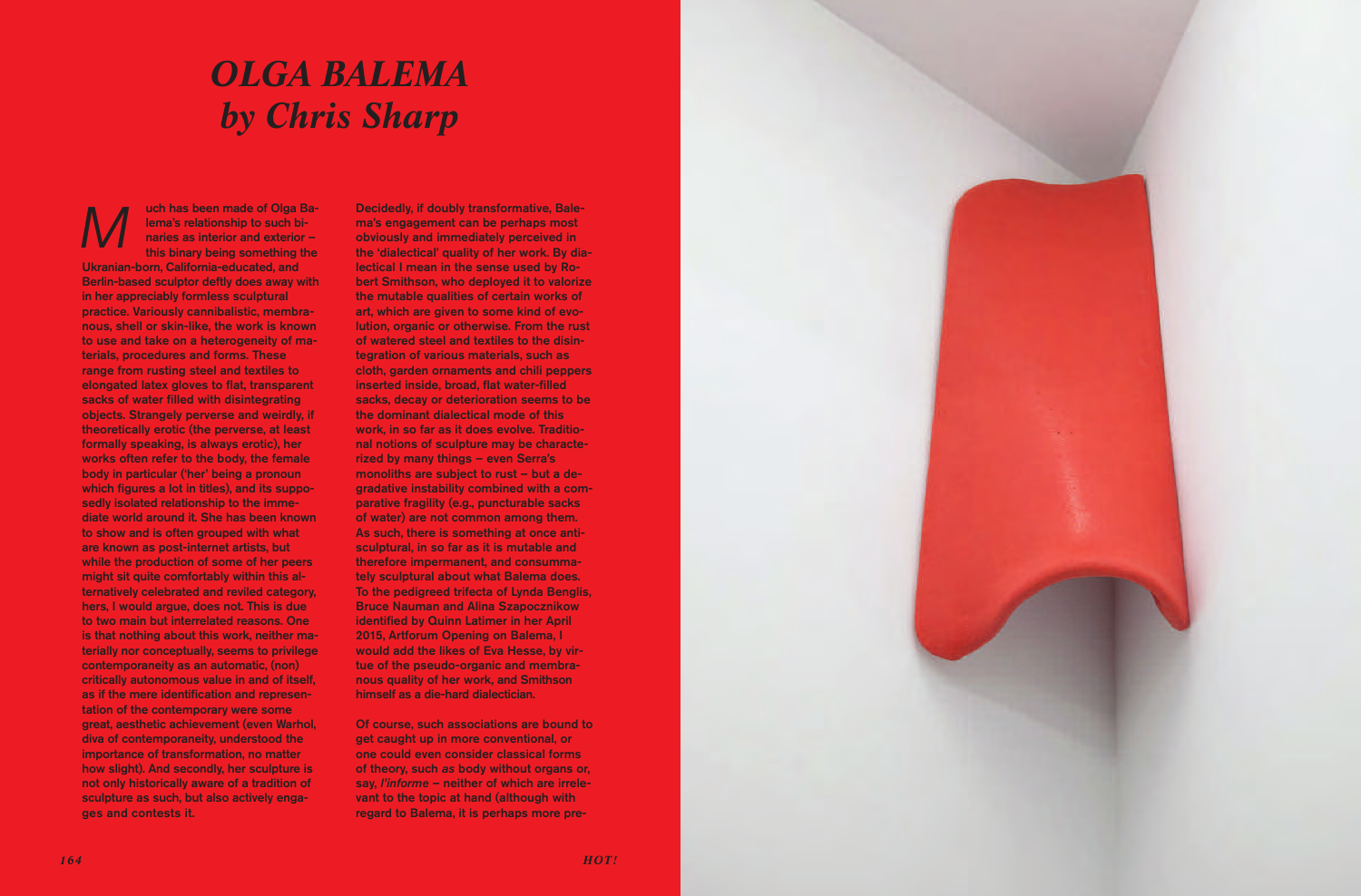

uch has been made of Olga Balema's relationship to such binaries as interior and exterior – this binary being something the Ukranian-born, California-educated, and Berlin-based sculptor deftly does away with in her appreciably formless sculptural practice. Variously cannibalistic, membranous, shell or skin-like, the work is known to use and take on a heterogeneity of materials, procedures and forms. These range from rusting steel and textiles to elongated latex gloves to flat, transparent sacks of water filled with disintegrating objects. Strangely perverse and weirdly, if theoretically erotic (the perverse, at least formally speaking, is always erotic), her works often refer to the body, the female body in particular ('her' being a pronoun which figures a lot in titles), and its supposedly isolated relationship to the immediate world around it. She has been known to show and is often grouped with what are known as post-internet artists, but while the production of some of her peers might sit quite comfortably within this alternatively celebrated and reviled category, hers, I would argue, does not. This is due to two main but interrelated reasons. One is that nothing about this work, neither materially nor conceptually, seems to privilege contemporaneity as an automatic, (non) critically autonomous value in and of itself, as if the mere identification and representation of the contemporary were some great, aesthetic achievement (even Warhol, diva of contemporaneity, understood the importance of transformation, no matter how slight). And secondly, her sculpture is not only historically aware of a tradition of sculpture as such, but also actively engages and contests it. *M*

Decidedly, if doubly transformative, Balema's engagement can be perhaps most obviously and immediately perceived in the 'dialectical' quality of her work. By dialectical I mean in the sense used by Robert Smithson, who deployed it to valorize the mutable qualities of certain works of art, which are given to some kind of evolution, organic or otherwise. From the rust of watered steel and textiles to the disintegration of various materials, such as cloth, garden ornaments and chili peppers inserted inside, broad, flat water-filled sacks, decay or deterioration seems to be the dominant dialectical mode of this work, in so far as it does evolve. Traditional notions of sculpture may be characterized by many things – even Serra's monoliths are subject to rust – but a degradative instability combined with a comparative fragility (e.g., puncturable sacks of water) are not common among them. As such, there is something at once antisculptural, in so far as it is mutable and therefore impermanent, and consummately sculptural about what Balema does. To the pedigreed trifecta of Lynda Benglis, Bruce Nauman and Alina Szapocznikow identified by Quinn Latimer in her April 2015, Artforum Opening on Balema, I would add the likes of Eva Hesse, by virtue of the pseudo-organic and membranous quality of her work, and Smithson himself as a die-hard dialectician.

Of course, such associations are bound to get caught up in more conventional, or one could even consider classical forms of theory, such *as* body without organs or, say, *l'informe* – neither of which are irrelevant to the topic at hand (although with regard to Balema, it is perhaps more pre-

## *OLGa baLEMa by Chris Sharp*